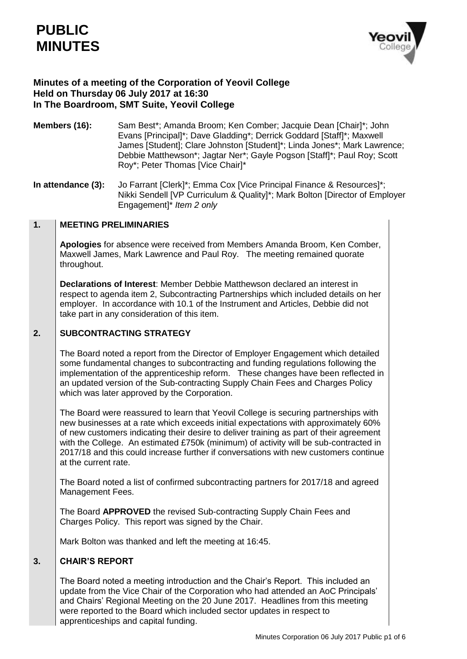

# **Minutes of a meeting of the Corporation of Yeovil College Held on Thursday 06 July 2017 at 16:30 In The Boardroom, SMT Suite, Yeovil College**

- **Members (16):** Sam Best\*; Amanda Broom; Ken Comber; Jacquie Dean [Chair]\*; John Evans [Principal]\*; Dave Gladding\*; Derrick Goddard [Staff]\*; Maxwell James [Student]; Clare Johnston [Student]\*; Linda Jones\*; Mark Lawrence; Debbie Matthewson\*; Jagtar Ner\*; Gayle Pogson [Staff]\*; Paul Roy; Scott Roy\*; Peter Thomas [Vice Chair]\*
- **In attendance (3):** Jo Farrant [Clerk]<sup>\*</sup>; Emma Cox [Vice Principal Finance & Resources]<sup>\*</sup>; Nikki Sendell [VP Curriculum & Quality]\*; Mark Bolton [Director of Employer Engagement]\* *Item 2 only*

#### **1. MEETING PRELIMINARIES**

**Apologies** for absence were received from Members Amanda Broom, Ken Comber, Maxwell James, Mark Lawrence and Paul Roy. The meeting remained quorate throughout.

**Declarations of Interest**: Member Debbie Matthewson declared an interest in respect to agenda item 2, Subcontracting Partnerships which included details on her employer. In accordance with 10.1 of the Instrument and Articles, Debbie did not take part in any consideration of this item.

#### **2. SUBCONTRACTING STRATEGY**

The Board noted a report from the Director of Employer Engagement which detailed some fundamental changes to subcontracting and funding regulations following the implementation of the apprenticeship reform. These changes have been reflected in an updated version of the Sub-contracting Supply Chain Fees and Charges Policy which was later approved by the Corporation.

The Board were reassured to learn that Yeovil College is securing partnerships with new businesses at a rate which exceeds initial expectations with approximately 60% of new customers indicating their desire to deliver training as part of their agreement with the College. An estimated £750k (minimum) of activity will be sub-contracted in 2017/18 and this could increase further if conversations with new customers continue at the current rate.

The Board noted a list of confirmed subcontracting partners for 2017/18 and agreed Management Fees.

The Board **APPROVED** the revised Sub-contracting Supply Chain Fees and Charges Policy. This report was signed by the Chair.

Mark Bolton was thanked and left the meeting at 16:45.

#### **3. CHAIR'S REPORT**

The Board noted a meeting introduction and the Chair's Report. This included an update from the Vice Chair of the Corporation who had attended an AoC Principals' and Chairs' Regional Meeting on the 20 June 2017. Headlines from this meeting were reported to the Board which included sector updates in respect to apprenticeships and capital funding.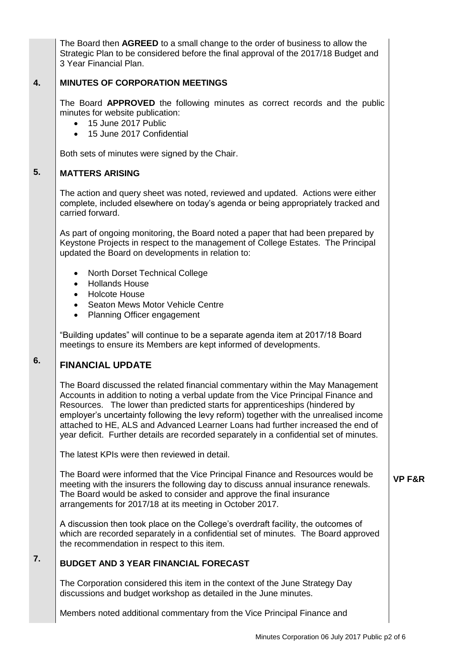The Board then **AGREED** to a small change to the order of business to allow the Strategic Plan to be considered before the final approval of the 2017/18 Budget and 3 Year Financial Plan.

#### **4. MINUTES OF CORPORATION MEETINGS**

The Board **APPROVED** the following minutes as correct records and the public minutes for website publication:

- 15 June 2017 Public
- 15 June 2017 Confidential

Both sets of minutes were signed by the Chair.

#### **5. MATTERS ARISING**

The action and query sheet was noted, reviewed and updated. Actions were either complete, included elsewhere on today's agenda or being appropriately tracked and carried forward.

As part of ongoing monitoring, the Board noted a paper that had been prepared by Keystone Projects in respect to the management of College Estates. The Principal updated the Board on developments in relation to:

- North Dorset Technical College
- Hollands House
- Holcote House
- Seaton Mews Motor Vehicle Centre
- Planning Officer engagement

"Building updates" will continue to be a separate agenda item at 2017/18 Board meetings to ensure its Members are kept informed of developments.

### **6. FINANCIAL UPDATE**

**7.**

The Board discussed the related financial commentary within the May Management Accounts in addition to noting a verbal update from the Vice Principal Finance and Resources. The lower than predicted starts for apprenticeships (hindered by employer's uncertainty following the levy reform) together with the unrealised income attached to HE, ALS and Advanced Learner Loans had further increased the end of year deficit. Further details are recorded separately in a confidential set of minutes.

The latest KPIs were then reviewed in detail.

The Board were informed that the Vice Principal Finance and Resources would be meeting with the insurers the following day to discuss annual insurance renewals. The Board would be asked to consider and approve the final insurance arrangements for 2017/18 at its meeting in October 2017. **VP F&R**

A discussion then took place on the College's overdraft facility, the outcomes of which are recorded separately in a confidential set of minutes. The Board approved the recommendation in respect to this item.

# **BUDGET AND 3 YEAR FINANCIAL FORECAST**

The Corporation considered this item in the context of the June Strategy Day discussions and budget workshop as detailed in the June minutes.

Members noted additional commentary from the Vice Principal Finance and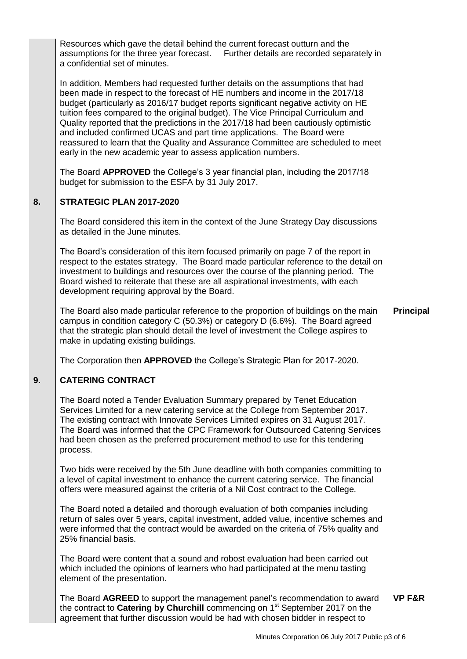|    | Resources which gave the detail behind the current forecast outturn and the<br>assumptions for the three year forecast. Further details are recorded separately in<br>a confidential set of minutes.                                                                                                                                                                                                                                                                                                                                                                                                                                                            |                   |
|----|-----------------------------------------------------------------------------------------------------------------------------------------------------------------------------------------------------------------------------------------------------------------------------------------------------------------------------------------------------------------------------------------------------------------------------------------------------------------------------------------------------------------------------------------------------------------------------------------------------------------------------------------------------------------|-------------------|
|    | In addition, Members had requested further details on the assumptions that had<br>been made in respect to the forecast of HE numbers and income in the 2017/18<br>budget (particularly as 2016/17 budget reports significant negative activity on HE<br>tuition fees compared to the original budget). The Vice Principal Curriculum and<br>Quality reported that the predictions in the 2017/18 had been cautiously optimistic<br>and included confirmed UCAS and part time applications. The Board were<br>reassured to learn that the Quality and Assurance Committee are scheduled to meet<br>early in the new academic year to assess application numbers. |                   |
|    | The Board APPROVED the College's 3 year financial plan, including the 2017/18<br>budget for submission to the ESFA by 31 July 2017.                                                                                                                                                                                                                                                                                                                                                                                                                                                                                                                             |                   |
| 8. | STRATEGIC PLAN 2017-2020                                                                                                                                                                                                                                                                                                                                                                                                                                                                                                                                                                                                                                        |                   |
|    | The Board considered this item in the context of the June Strategy Day discussions<br>as detailed in the June minutes.                                                                                                                                                                                                                                                                                                                                                                                                                                                                                                                                          |                   |
|    | The Board's consideration of this item focused primarily on page 7 of the report in<br>respect to the estates strategy. The Board made particular reference to the detail on<br>investment to buildings and resources over the course of the planning period. The<br>Board wished to reiterate that these are all aspirational investments, with each<br>development requiring approval by the Board.                                                                                                                                                                                                                                                           |                   |
|    | The Board also made particular reference to the proportion of buildings on the main<br>campus in condition category C (50.3%) or category D (6.6%). The Board agreed<br>that the strategic plan should detail the level of investment the College aspires to<br>make in updating existing buildings.                                                                                                                                                                                                                                                                                                                                                            | <b>Principal</b>  |
|    | The Corporation then APPROVED the College's Strategic Plan for 2017-2020.                                                                                                                                                                                                                                                                                                                                                                                                                                                                                                                                                                                       |                   |
| 9. | <b>CATERING CONTRACT</b>                                                                                                                                                                                                                                                                                                                                                                                                                                                                                                                                                                                                                                        |                   |
|    | The Board noted a Tender Evaluation Summary prepared by Tenet Education<br>Services Limited for a new catering service at the College from September 2017.<br>The existing contract with Innovate Services Limited expires on 31 August 2017.<br>The Board was informed that the CPC Framework for Outsourced Catering Services<br>had been chosen as the preferred procurement method to use for this tendering<br>process.                                                                                                                                                                                                                                    |                   |
|    | Two bids were received by the 5th June deadline with both companies committing to<br>a level of capital investment to enhance the current catering service. The financial<br>offers were measured against the criteria of a Nil Cost contract to the College.                                                                                                                                                                                                                                                                                                                                                                                                   |                   |
|    | The Board noted a detailed and thorough evaluation of both companies including<br>return of sales over 5 years, capital investment, added value, incentive schemes and<br>were informed that the contract would be awarded on the criteria of 75% quality and<br>25% financial basis.                                                                                                                                                                                                                                                                                                                                                                           |                   |
|    | The Board were content that a sound and robost evaluation had been carried out<br>which included the opinions of learners who had participated at the menu tasting<br>element of the presentation.                                                                                                                                                                                                                                                                                                                                                                                                                                                              |                   |
|    | The Board AGREED to support the management panel's recommendation to award<br>the contract to Catering by Churchill commencing on 1 <sup>st</sup> September 2017 on the<br>agreement that further discussion would be had with chosen bidder in respect to                                                                                                                                                                                                                                                                                                                                                                                                      | <b>VP F&amp;R</b> |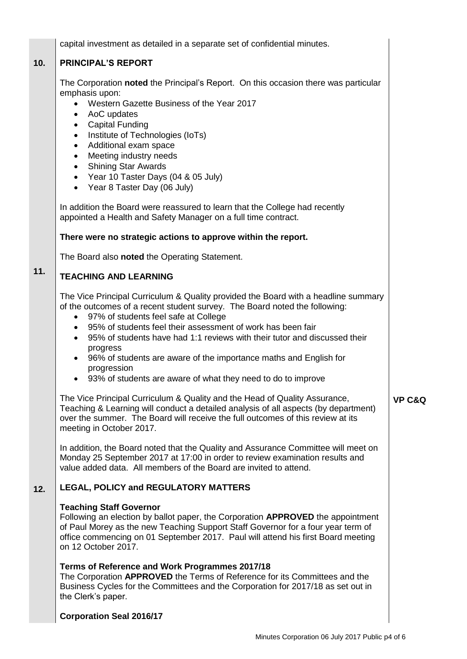|     | capital investment as detailed in a separate set of confidential minutes.                                                                                                                                                                                                                                                                                                                                                                                                                                                                            |                   |
|-----|------------------------------------------------------------------------------------------------------------------------------------------------------------------------------------------------------------------------------------------------------------------------------------------------------------------------------------------------------------------------------------------------------------------------------------------------------------------------------------------------------------------------------------------------------|-------------------|
| 10. | <b>PRINCIPAL'S REPORT</b>                                                                                                                                                                                                                                                                                                                                                                                                                                                                                                                            |                   |
|     | The Corporation noted the Principal's Report. On this occasion there was particular<br>emphasis upon:<br>Western Gazette Business of the Year 2017<br>AoC updates<br>$\bullet$<br>• Capital Funding<br>Institute of Technologies (IoTs)<br>$\bullet$<br>Additional exam space<br>$\bullet$<br>Meeting industry needs<br>$\bullet$<br><b>Shining Star Awards</b><br>$\bullet$<br>• Year 10 Taster Days (04 & 05 July)<br>• Year 8 Taster Day (06 July)                                                                                                |                   |
|     | In addition the Board were reassured to learn that the College had recently<br>appointed a Health and Safety Manager on a full time contract.                                                                                                                                                                                                                                                                                                                                                                                                        |                   |
|     | There were no strategic actions to approve within the report.                                                                                                                                                                                                                                                                                                                                                                                                                                                                                        |                   |
|     | The Board also noted the Operating Statement.                                                                                                                                                                                                                                                                                                                                                                                                                                                                                                        |                   |
| 11. | <b>TEACHING AND LEARNING</b>                                                                                                                                                                                                                                                                                                                                                                                                                                                                                                                         |                   |
|     | The Vice Principal Curriculum & Quality provided the Board with a headline summary<br>of the outcomes of a recent student survey. The Board noted the following:<br>• 97% of students feel safe at College<br>95% of students feel their assessment of work has been fair<br>$\bullet$<br>95% of students have had 1:1 reviews with their tutor and discussed their<br>$\bullet$<br>progress<br>• 96% of students are aware of the importance maths and English for<br>progression<br>• 93% of students are aware of what they need to do to improve |                   |
|     | The Vice Principal Curriculum & Quality and the Head of Quality Assurance,<br>Teaching & Learning will conduct a detailed analysis of all aspects (by department)<br>over the summer. The Board will receive the full outcomes of this review at its<br>meeting in October 2017.                                                                                                                                                                                                                                                                     | <b>VP C&amp;Q</b> |
|     | In addition, the Board noted that the Quality and Assurance Committee will meet on<br>Monday 25 September 2017 at 17:00 in order to review examination results and<br>value added data. All members of the Board are invited to attend.                                                                                                                                                                                                                                                                                                              |                   |
| 12. | <b>LEGAL, POLICY and REGULATORY MATTERS</b>                                                                                                                                                                                                                                                                                                                                                                                                                                                                                                          |                   |
|     | <b>Teaching Staff Governor</b><br>Following an election by ballot paper, the Corporation <b>APPROVED</b> the appointment<br>of Paul Morey as the new Teaching Support Staff Governor for a four year term of<br>office commencing on 01 September 2017. Paul will attend his first Board meeting<br>on 12 October 2017.                                                                                                                                                                                                                              |                   |
|     | Terms of Reference and Work Programmes 2017/18<br>The Corporation APPROVED the Terms of Reference for its Committees and the<br>Business Cycles for the Committees and the Corporation for 2017/18 as set out in<br>the Clerk's paper.                                                                                                                                                                                                                                                                                                               |                   |
|     | <b>Corporation Seal 2016/17</b>                                                                                                                                                                                                                                                                                                                                                                                                                                                                                                                      |                   |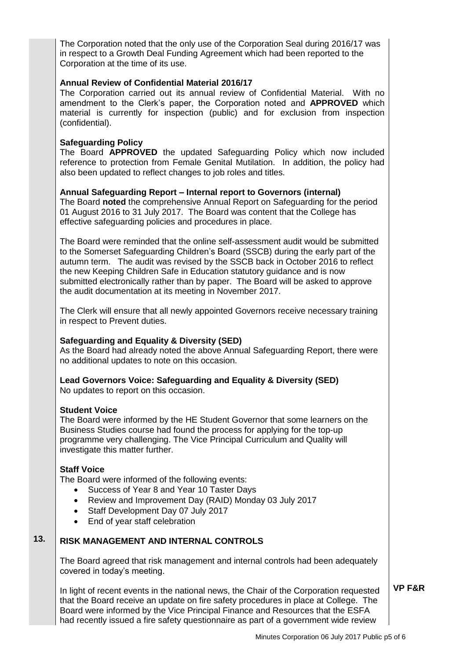The Corporation noted that the only use of the Corporation Seal during 2016/17 was in respect to a Growth Deal Funding Agreement which had been reported to the Corporation at the time of its use.

## **Annual Review of Confidential Material 2016/17**

The Corporation carried out its annual review of Confidential Material. With no amendment to the Clerk's paper, the Corporation noted and **APPROVED** which material is currently for inspection (public) and for exclusion from inspection (confidential).

### **Safeguarding Policy**

The Board **APPROVED** the updated Safeguarding Policy which now included reference to protection from Female Genital Mutilation. In addition, the policy had also been updated to reflect changes to job roles and titles.

### **Annual Safeguarding Report – Internal report to Governors (internal)**

The Board **noted** the comprehensive Annual Report on Safeguarding for the period 01 August 2016 to 31 July 2017. The Board was content that the College has effective safeguarding policies and procedures in place.

The Board were reminded that the online self-assessment audit would be submitted to the Somerset Safeguarding Children's Board (SSCB) during the early part of the autumn term. The audit was revised by the SSCB back in October 2016 to reflect the new Keeping Children Safe in Education statutory guidance and is now submitted electronically rather than by paper. The Board will be asked to approve the audit documentation at its meeting in November 2017.

The Clerk will ensure that all newly appointed Governors receive necessary training in respect to Prevent duties.

## **Safeguarding and Equality & Diversity (SED)**

As the Board had already noted the above Annual Safeguarding Report, there were no additional updates to note on this occasion.

**Lead Governors Voice: Safeguarding and Equality & Diversity (SED)**

No updates to report on this occasion.

### **Student Voice**

The Board were informed by the HE Student Governor that some learners on the Business Studies course had found the process for applying for the top-up programme very challenging. The Vice Principal Curriculum and Quality will investigate this matter further.

## **Staff Voice**

The Board were informed of the following events:

- Success of Year 8 and Year 10 Taster Days
- Review and Improvement Day (RAID) Monday 03 July 2017
- Staff Development Day 07 July 2017
- End of year staff celebration

#### **13. RISK MANAGEMENT AND INTERNAL CONTROLS**

The Board agreed that risk management and internal controls had been adequately covered in today's meeting.

In light of recent events in the national news, the Chair of the Corporation requested that the Board receive an update on fire safety procedures in place at College. The Board were informed by the Vice Principal Finance and Resources that the ESFA had recently issued a fire safety questionnaire as part of a government wide review

**VP F&R**